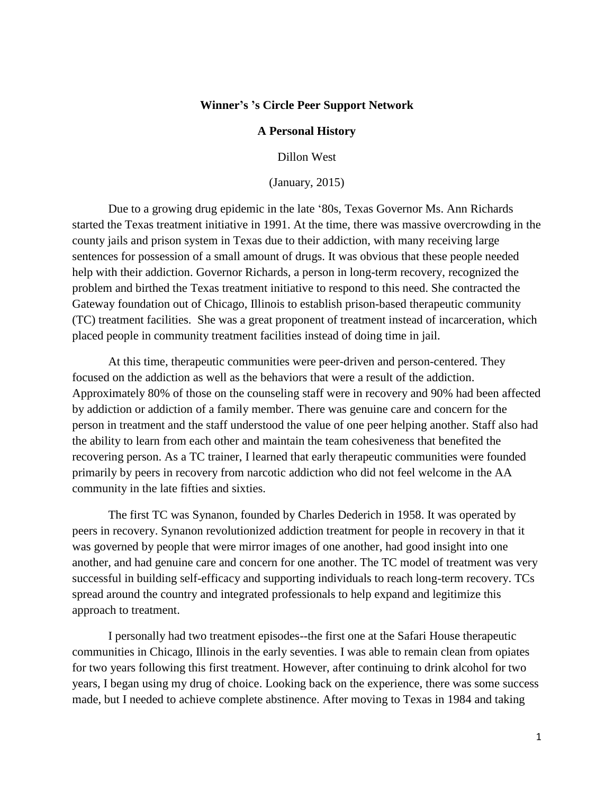## **Winner's 's Circle Peer Support Network**

## **A Personal History**

Dillon West

(January, 2015)

Due to a growing drug epidemic in the late '80s, Texas Governor Ms. Ann Richards started the Texas treatment initiative in 1991. At the time, there was massive overcrowding in the county jails and prison system in Texas due to their addiction, with many receiving large sentences for possession of a small amount of drugs. It was obvious that these people needed help with their addiction. Governor Richards, a person in long-term recovery, recognized the problem and birthed the Texas treatment initiative to respond to this need. She contracted the Gateway foundation out of Chicago, Illinois to establish prison-based therapeutic community (TC) treatment facilities. She was a great proponent of treatment instead of incarceration, which placed people in community treatment facilities instead of doing time in jail.

At this time, therapeutic communities were peer-driven and person-centered. They focused on the addiction as well as the behaviors that were a result of the addiction. Approximately 80% of those on the counseling staff were in recovery and 90% had been affected by addiction or addiction of a family member. There was genuine care and concern for the person in treatment and the staff understood the value of one peer helping another. Staff also had the ability to learn from each other and maintain the team cohesiveness that benefited the recovering person. As a TC trainer, I learned that early therapeutic communities were founded primarily by peers in recovery from narcotic addiction who did not feel welcome in the AA community in the late fifties and sixties.

The first TC was Synanon, founded by Charles Dederich in 1958. It was operated by peers in recovery. Synanon revolutionized addiction treatment for people in recovery in that it was governed by people that were mirror images of one another, had good insight into one another, and had genuine care and concern for one another. The TC model of treatment was very successful in building self-efficacy and supporting individuals to reach long-term recovery. TCs spread around the country and integrated professionals to help expand and legitimize this approach to treatment.

I personally had two treatment episodes--the first one at the Safari House therapeutic communities in Chicago, Illinois in the early seventies. I was able to remain clean from opiates for two years following this first treatment. However, after continuing to drink alcohol for two years, I began using my drug of choice. Looking back on the experience, there was some success made, but I needed to achieve complete abstinence. After moving to Texas in 1984 and taking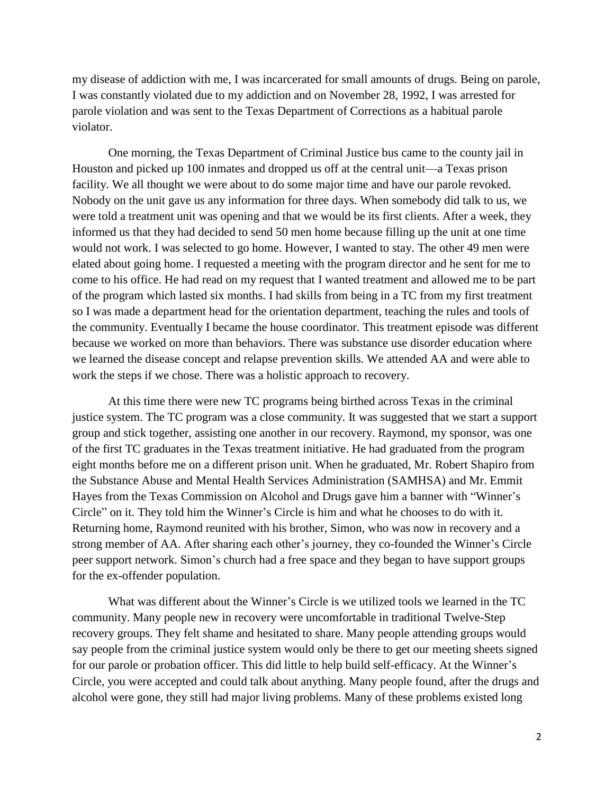my disease of addiction with me, I was incarcerated for small amounts of drugs. Being on parole, I was constantly violated due to my addiction and on November 28, 1992, I was arrested for parole violation and was sent to the Texas Department of Corrections as a habitual parole violator.

One morning, the Texas Department of Criminal Justice bus came to the county jail in Houston and picked up 100 inmates and dropped us off at the central unit—a Texas prison facility. We all thought we were about to do some major time and have our parole revoked. Nobody on the unit gave us any information for three days. When somebody did talk to us, we were told a treatment unit was opening and that we would be its first clients. After a week, they informed us that they had decided to send 50 men home because filling up the unit at one time would not work. I was selected to go home. However, I wanted to stay. The other 49 men were elated about going home. I requested a meeting with the program director and he sent for me to come to his office. He had read on my request that I wanted treatment and allowed me to be part of the program which lasted six months. I had skills from being in a TC from my first treatment so I was made a department head for the orientation department, teaching the rules and tools of the community. Eventually I became the house coordinator. This treatment episode was different because we worked on more than behaviors. There was substance use disorder education where we learned the disease concept and relapse prevention skills. We attended AA and were able to work the steps if we chose. There was a holistic approach to recovery.

At this time there were new TC programs being birthed across Texas in the criminal justice system. The TC program was a close community. It was suggested that we start a support group and stick together, assisting one another in our recovery. Raymond, my sponsor, was one of the first TC graduates in the Texas treatment initiative. He had graduated from the program eight months before me on a different prison unit. When he graduated, Mr. Robert Shapiro from the Substance Abuse and Mental Health Services Administration (SAMHSA) and Mr. Emmit Hayes from the Texas Commission on Alcohol and Drugs gave him a banner with "Winner's Circle" on it. They told him the Winner's Circle is him and what he chooses to do with it. Returning home, Raymond reunited with his brother, Simon, who was now in recovery and a strong member of AA. After sharing each other's journey, they co-founded the Winner's Circle peer support network. Simon's church had a free space and they began to have support groups for the ex-offender population.

What was different about the Winner's Circle is we utilized tools we learned in the TC community. Many people new in recovery were uncomfortable in traditional Twelve-Step recovery groups. They felt shame and hesitated to share. Many people attending groups would say people from the criminal justice system would only be there to get our meeting sheets signed for our parole or probation officer. This did little to help build self-efficacy. At the Winner's Circle, you were accepted and could talk about anything. Many people found, after the drugs and alcohol were gone, they still had major living problems. Many of these problems existed long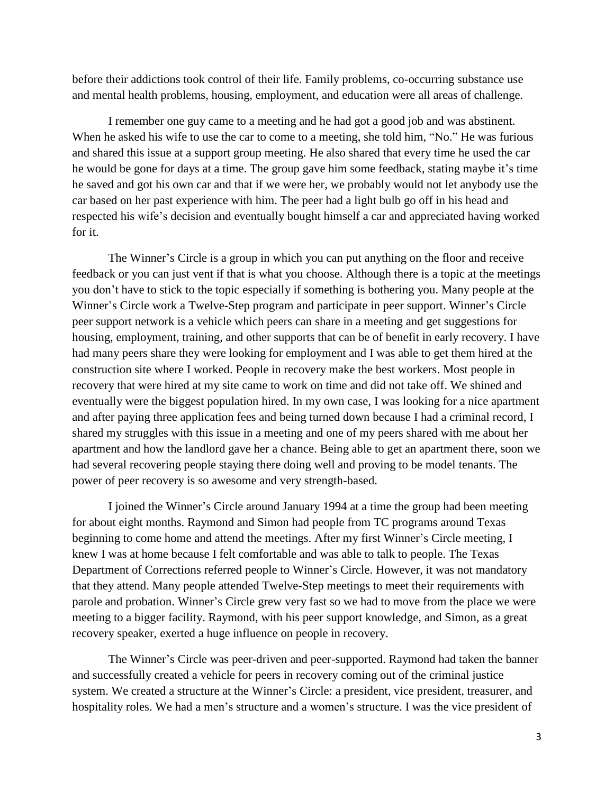before their addictions took control of their life. Family problems, co-occurring substance use and mental health problems, housing, employment, and education were all areas of challenge.

I remember one guy came to a meeting and he had got a good job and was abstinent. When he asked his wife to use the car to come to a meeting, she told him, "No." He was furious and shared this issue at a support group meeting. He also shared that every time he used the car he would be gone for days at a time. The group gave him some feedback, stating maybe it's time he saved and got his own car and that if we were her, we probably would not let anybody use the car based on her past experience with him. The peer had a light bulb go off in his head and respected his wife's decision and eventually bought himself a car and appreciated having worked for it.

The Winner's Circle is a group in which you can put anything on the floor and receive feedback or you can just vent if that is what you choose. Although there is a topic at the meetings you don't have to stick to the topic especially if something is bothering you. Many people at the Winner's Circle work a Twelve-Step program and participate in peer support. Winner's Circle peer support network is a vehicle which peers can share in a meeting and get suggestions for housing, employment, training, and other supports that can be of benefit in early recovery. I have had many peers share they were looking for employment and I was able to get them hired at the construction site where I worked. People in recovery make the best workers. Most people in recovery that were hired at my site came to work on time and did not take off. We shined and eventually were the biggest population hired. In my own case, I was looking for a nice apartment and after paying three application fees and being turned down because I had a criminal record, I shared my struggles with this issue in a meeting and one of my peers shared with me about her apartment and how the landlord gave her a chance. Being able to get an apartment there, soon we had several recovering people staying there doing well and proving to be model tenants. The power of peer recovery is so awesome and very strength-based.

I joined the Winner's Circle around January 1994 at a time the group had been meeting for about eight months. Raymond and Simon had people from TC programs around Texas beginning to come home and attend the meetings. After my first Winner's Circle meeting, I knew I was at home because I felt comfortable and was able to talk to people. The Texas Department of Corrections referred people to Winner's Circle. However, it was not mandatory that they attend. Many people attended Twelve-Step meetings to meet their requirements with parole and probation. Winner's Circle grew very fast so we had to move from the place we were meeting to a bigger facility. Raymond, with his peer support knowledge, and Simon, as a great recovery speaker, exerted a huge influence on people in recovery.

The Winner's Circle was peer-driven and peer-supported. Raymond had taken the banner and successfully created a vehicle for peers in recovery coming out of the criminal justice system. We created a structure at the Winner's Circle: a president, vice president, treasurer, and hospitality roles. We had a men's structure and a women's structure. I was the vice president of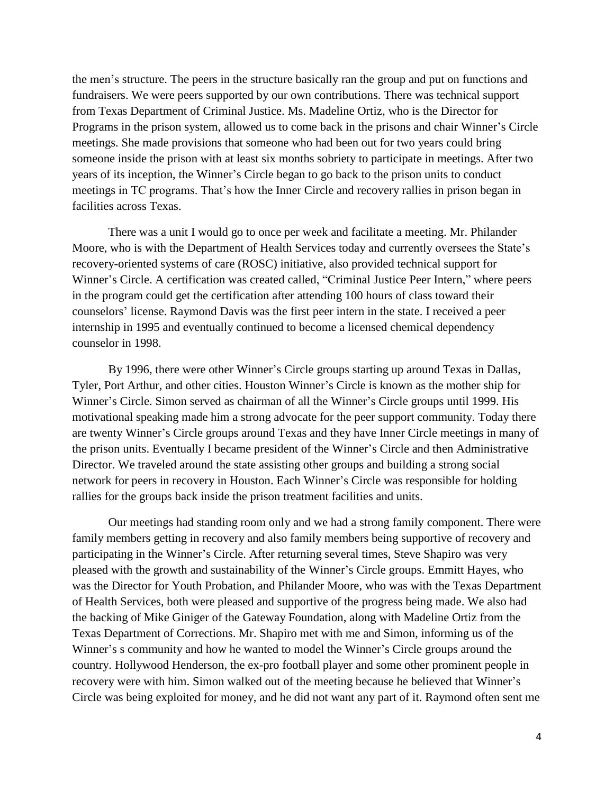the men's structure. The peers in the structure basically ran the group and put on functions and fundraisers. We were peers supported by our own contributions. There was technical support from Texas Department of Criminal Justice. Ms. Madeline Ortiz, who is the Director for Programs in the prison system, allowed us to come back in the prisons and chair Winner's Circle meetings. She made provisions that someone who had been out for two years could bring someone inside the prison with at least six months sobriety to participate in meetings. After two years of its inception, the Winner's Circle began to go back to the prison units to conduct meetings in TC programs. That's how the Inner Circle and recovery rallies in prison began in facilities across Texas.

There was a unit I would go to once per week and facilitate a meeting. Mr. Philander Moore, who is with the Department of Health Services today and currently oversees the State's recovery-oriented systems of care (ROSC) initiative, also provided technical support for Winner's Circle. A certification was created called, "Criminal Justice Peer Intern," where peers in the program could get the certification after attending 100 hours of class toward their counselors' license. Raymond Davis was the first peer intern in the state. I received a peer internship in 1995 and eventually continued to become a licensed chemical dependency counselor in 1998.

By 1996, there were other Winner's Circle groups starting up around Texas in Dallas, Tyler, Port Arthur, and other cities. Houston Winner's Circle is known as the mother ship for Winner's Circle. Simon served as chairman of all the Winner's Circle groups until 1999. His motivational speaking made him a strong advocate for the peer support community. Today there are twenty Winner's Circle groups around Texas and they have Inner Circle meetings in many of the prison units. Eventually I became president of the Winner's Circle and then Administrative Director. We traveled around the state assisting other groups and building a strong social network for peers in recovery in Houston. Each Winner's Circle was responsible for holding rallies for the groups back inside the prison treatment facilities and units.

Our meetings had standing room only and we had a strong family component. There were family members getting in recovery and also family members being supportive of recovery and participating in the Winner's Circle. After returning several times, Steve Shapiro was very pleased with the growth and sustainability of the Winner's Circle groups. Emmitt Hayes, who was the Director for Youth Probation, and Philander Moore, who was with the Texas Department of Health Services, both were pleased and supportive of the progress being made. We also had the backing of Mike Giniger of the Gateway Foundation, along with Madeline Ortiz from the Texas Department of Corrections. Mr. Shapiro met with me and Simon, informing us of the Winner's s community and how he wanted to model the Winner's Circle groups around the country. Hollywood Henderson, the ex-pro football player and some other prominent people in recovery were with him. Simon walked out of the meeting because he believed that Winner's Circle was being exploited for money, and he did not want any part of it. Raymond often sent me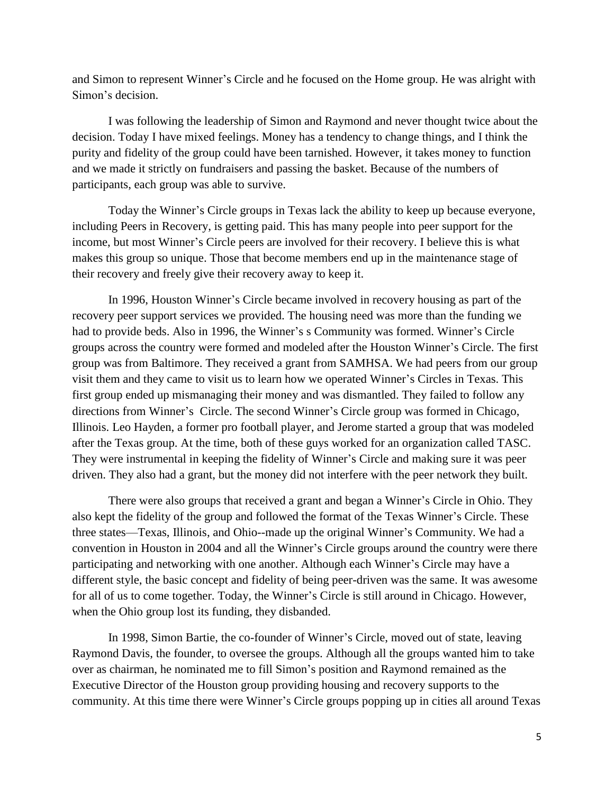and Simon to represent Winner's Circle and he focused on the Home group. He was alright with Simon's decision.

I was following the leadership of Simon and Raymond and never thought twice about the decision. Today I have mixed feelings. Money has a tendency to change things, and I think the purity and fidelity of the group could have been tarnished. However, it takes money to function and we made it strictly on fundraisers and passing the basket. Because of the numbers of participants, each group was able to survive.

Today the Winner's Circle groups in Texas lack the ability to keep up because everyone, including Peers in Recovery, is getting paid. This has many people into peer support for the income, but most Winner's Circle peers are involved for their recovery. I believe this is what makes this group so unique. Those that become members end up in the maintenance stage of their recovery and freely give their recovery away to keep it.

In 1996, Houston Winner's Circle became involved in recovery housing as part of the recovery peer support services we provided. The housing need was more than the funding we had to provide beds. Also in 1996, the Winner's s Community was formed. Winner's Circle groups across the country were formed and modeled after the Houston Winner's Circle. The first group was from Baltimore. They received a grant from SAMHSA. We had peers from our group visit them and they came to visit us to learn how we operated Winner's Circles in Texas. This first group ended up mismanaging their money and was dismantled. They failed to follow any directions from Winner's Circle. The second Winner's Circle group was formed in Chicago, Illinois. Leo Hayden, a former pro football player, and Jerome started a group that was modeled after the Texas group. At the time, both of these guys worked for an organization called TASC. They were instrumental in keeping the fidelity of Winner's Circle and making sure it was peer driven. They also had a grant, but the money did not interfere with the peer network they built.

There were also groups that received a grant and began a Winner's Circle in Ohio. They also kept the fidelity of the group and followed the format of the Texas Winner's Circle. These three states—Texas, Illinois, and Ohio--made up the original Winner's Community. We had a convention in Houston in 2004 and all the Winner's Circle groups around the country were there participating and networking with one another. Although each Winner's Circle may have a different style, the basic concept and fidelity of being peer-driven was the same. It was awesome for all of us to come together. Today, the Winner's Circle is still around in Chicago. However, when the Ohio group lost its funding, they disbanded.

In 1998, Simon Bartie, the co-founder of Winner's Circle, moved out of state, leaving Raymond Davis, the founder, to oversee the groups. Although all the groups wanted him to take over as chairman, he nominated me to fill Simon's position and Raymond remained as the Executive Director of the Houston group providing housing and recovery supports to the community. At this time there were Winner's Circle groups popping up in cities all around Texas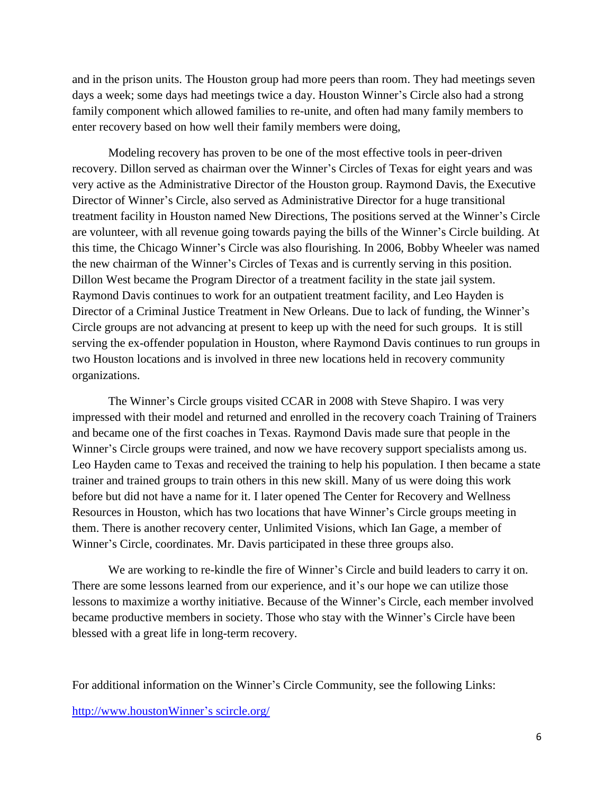and in the prison units. The Houston group had more peers than room. They had meetings seven days a week; some days had meetings twice a day. Houston Winner's Circle also had a strong family component which allowed families to re-unite, and often had many family members to enter recovery based on how well their family members were doing,

Modeling recovery has proven to be one of the most effective tools in peer-driven recovery. Dillon served as chairman over the Winner's Circles of Texas for eight years and was very active as the Administrative Director of the Houston group. Raymond Davis, the Executive Director of Winner's Circle, also served as Administrative Director for a huge transitional treatment facility in Houston named New Directions, The positions served at the Winner's Circle are volunteer, with all revenue going towards paying the bills of the Winner's Circle building. At this time, the Chicago Winner's Circle was also flourishing. In 2006, Bobby Wheeler was named the new chairman of the Winner's Circles of Texas and is currently serving in this position. Dillon West became the Program Director of a treatment facility in the state jail system. Raymond Davis continues to work for an outpatient treatment facility, and Leo Hayden is Director of a Criminal Justice Treatment in New Orleans. Due to lack of funding, the Winner's Circle groups are not advancing at present to keep up with the need for such groups. It is still serving the ex-offender population in Houston, where Raymond Davis continues to run groups in two Houston locations and is involved in three new locations held in recovery community organizations.

The Winner's Circle groups visited CCAR in 2008 with Steve Shapiro. I was very impressed with their model and returned and enrolled in the recovery coach Training of Trainers and became one of the first coaches in Texas. Raymond Davis made sure that people in the Winner's Circle groups were trained, and now we have recovery support specialists among us. Leo Hayden came to Texas and received the training to help his population. I then became a state trainer and trained groups to train others in this new skill. Many of us were doing this work before but did not have a name for it. I later opened The Center for Recovery and Wellness Resources in Houston, which has two locations that have Winner's Circle groups meeting in them. There is another recovery center, Unlimited Visions, which Ian Gage, a member of Winner's Circle, coordinates. Mr. Davis participated in these three groups also.

We are working to re-kindle the fire of Winner's Circle and build leaders to carry it on. There are some lessons learned from our experience, and it's our hope we can utilize those lessons to maximize a worthy initiative. Because of the Winner's Circle, each member involved became productive members in society. Those who stay with the Winner's Circle have been blessed with a great life in long-term recovery.

For additional information on the Winner's Circle Community, see the following Links:

[http://www.houstonWinner's scircle.org/](http://www.houstonwinnerscircle.org/)